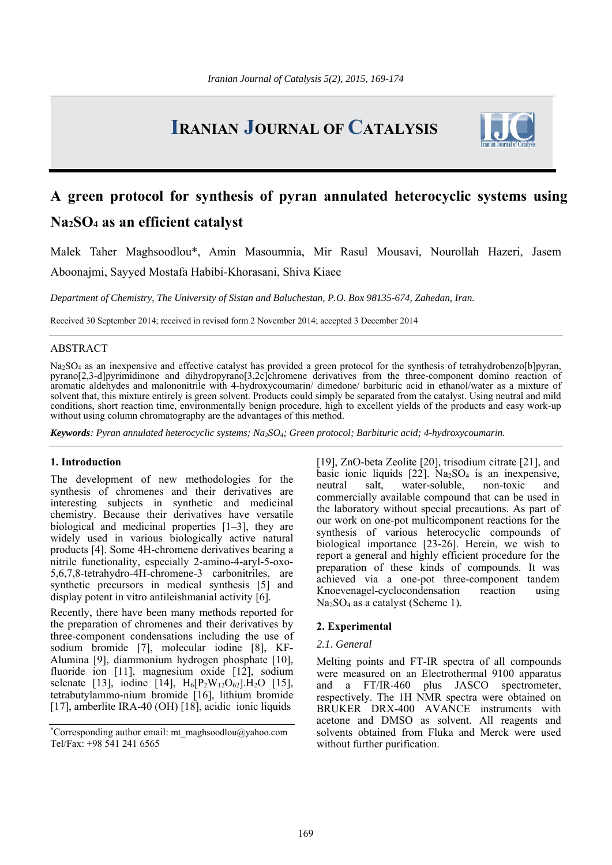# **IRANIAN JOURNAL OF CATALYSIS**



## **A green protocol for synthesis of pyran annulated heterocyclic systems using Na2SO4 as an efficient catalyst**

Malek Taher Maghsoodlou\*, Amin Masoumnia, Mir Rasul Mousavi, Nourollah Hazeri, Jasem Aboonajmi, Sayyed Mostafa Habibi-Khorasani, Shiva Kiaee

*Department of Chemistry, The University of Sistan and Baluchestan, P.O. Box 98135-674, Zahedan, Iran.* 

Received 30 September 2014; received in revised form 2 November 2014; accepted 3 December 2014

## ABSTRACT

Na<sub>2</sub>SO<sub>4</sub> as an inexpensive and effective catalyst has provided a green protocol for the synthesis of tetrahydrobenzo[b]pyran, pyrano[2,3-d]pyrimidinone and dihydropyrano[3,2c]chromene derivatives from the three-component domino reaction of aromatic aldehydes and malononitrile with 4-hydroxycoumarin/ dimedone/ barbituric acid in ethanol/water as a mixture of solvent that, this mixture entirely is green solvent. Products could simply be separated from the catalyst. Using neutral and mild conditions, short reaction time, environmentally benign procedure, high to excellent yields of the products and easy work-up without using column chromatography are the advantages of this method.

*Keywords: Pyran annulated heterocyclic systems; Na2SO4; Green protocol; Barbituric acid; 4-hydroxycoumarin.*

#### **1. Introduction**

The development of new methodologies for the synthesis of chromenes and their derivatives are interesting subjects in synthetic and medicinal chemistry. Because their derivatives have versatile biological and medicinal properties [1–3], they are widely used in various biologically active natural products [4]. Some 4H-chromene derivatives bearing a nitrile functionality, especially 2-amino-4-aryl-5-oxo-5,6,7,8-tetrahydro-4H-chromene-3 carbonitriles, are synthetic precursors in medical synthesis [5] and display potent in vitro antileishmanial activity [6].

Recently, there have been many methods reported for the preparation of chromenes and their derivatives by three-component condensations including the use of sodium bromide [7], molecular iodine [8], KF-Alumina [9], diammonium hydrogen phosphate [10], fluoride ion [11], magnesium oxide [12], sodium selenate [13], iodine [14],  $H_6[P_2W_{12}O_{62}]$ . H<sub>2</sub>O [15], tetrabutylammo-nium bromide [16], lithium bromide [17], amberlite IRA-40 (OH) [18], acidic ionic liquids

[19], ZnO-beta Zeolite [20], trisodium citrate [21], and basic ionic liquids  $[22]$ . Na<sub>2</sub>SO<sub>4</sub> is an inexpensive, neutral salt, water-soluble, non-toxic and commercially available compound that can be used in the laboratory without special precautions. As part of our work on one-pot multicomponent reactions for the synthesis of various heterocyclic compounds of biological importance [23-26]. Herein, we wish to report a general and highly efficient procedure for the preparation of these kinds of compounds. It was achieved via a one-pot three-component tandem Knoevenagel-cyclocondensation reaction using Na<sub>2</sub>SO<sub>4</sub> as a catalyst (Scheme 1).

## **2. Experimental**

## *2.1. General*

Melting points and FT-IR spectra of all compounds were measured on an Electrothermal 9100 apparatus and a FT/IR-460 plus JASCO spectrometer, respectively. The 1H NMR spectra were obtained on BRUKER DRX-400 AVANCE instruments with acetone and DMSO as solvent. All reagents and solvents obtained from Fluka and Merck were used without further purification.

<sup>\*</sup> Corresponding author email: mt\_maghsoodlou@yahoo.com Tel/Fax: +98 541 241 6565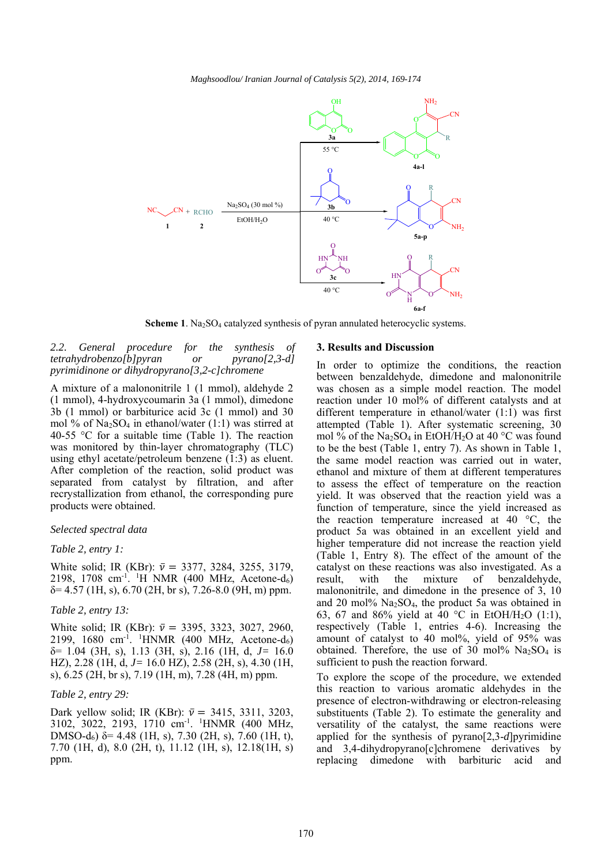

**Scheme 1**. Na<sub>2</sub>SO<sub>4</sub> catalyzed synthesis of pyran annulated heterocyclic systems.

*2.2. General procedure for the synthesis of tetrahydrobenzo[b]pyran or pyrano[2,3-d] pyrimidinone or dihydropyrano[3,2-c]chromene* 

A mixture of a malononitrile 1 (1 mmol), aldehyde 2 (1 mmol), 4-hydroxycoumarin 3a (1 mmol), dimedone 3b (1 mmol) or barbiturice acid 3c (1 mmol) and 30 mol % of  $Na<sub>2</sub>SO<sub>4</sub>$  in ethanol/water (1:1) was stirred at 40-55 °C for a suitable time (Table 1). The reaction was monitored by thin-layer chromatography (TLC) using ethyl acetate/petroleum benzene (1:3) as eluent. After completion of the reaction, solid product was separated from catalyst by filtration, and after recrystallization from ethanol, the corresponding pure products were obtained.

#### *Selected spectral data*

#### *Table 2, entry 1:*

White solid; IR (KBr):  $\bar{v} = 3377, 3284, 3255, 3179,$ 2198, 1708 cm<sup>-1</sup>. <sup>1</sup>H NMR (400 MHz, Acetone-d<sub>6</sub>)  $\delta$  = 4.57 (1H, s), 6.70 (2H, br s), 7.26-8.0 (9H, m) ppm.

#### *Table 2, entry 13:*

White solid; IR (KBr):  $\bar{v}$  = 3395, 3323, 3027, 2960, 2199, 1680 cm<sup>-1</sup>. <sup>1</sup>HNMR (400 MHz, Acetone-d<sub>6</sub>) δ= 1.04 (3H, s), 1.13 (3H, s), 2.16 (1H, d, *J=* 16.0 HZ), 2.28 (1H, d, *J=* 16.0 HZ), 2.58 (2H, s), 4.30 (1H, s), 6.25 (2H, br s), 7.19 (1H, m), 7.28 (4H, m) ppm.

### *Table 2, entry 29:*

Dark yellow solid; IR (KBr):  $\bar{v} = 3415, 3311, 3203,$ 3102, 3022, 2193, 1710 cm-1. 1 HNMR (400 MHz, DMSO-d<sub>6</sub>)  $\delta$  = 4.48 (1H, s), 7.30 (2H, s), 7.60 (1H, t), 7.70 (1H, d), 8.0 (2H, t), 11.12 (1H, s), 12.18(1H, s) ppm.

#### **3. Results and Discussion**

In order to optimize the conditions, the reaction between benzaldehyde, dimedone and malononitrile was chosen as a simple model reaction. The model reaction under 10 mol% of different catalysts and at different temperature in ethanol/water (1:1) was first attempted (Table 1). After systematic screening, 30 mol % of the Na<sub>2</sub>SO<sub>4</sub> in EtOH/H<sub>2</sub>O at 40 °C was found to be the best (Table 1, entry 7). As shown in Table 1, the same model reaction was carried out in water, ethanol and mixture of them at different temperatures to assess the effect of temperature on the reaction yield. It was observed that the reaction yield was a function of temperature, since the yield increased as the reaction temperature increased at 40 °C, the product 5a was obtained in an excellent yield and higher temperature did not increase the reaction yield (Table 1, Entry 8). The effect of the amount of the catalyst on these reactions was also investigated. As a result, with the mixture of benzaldehyde, malononitrile, and dimedone in the presence of 3, 10 and 20 mol%  $Na<sub>2</sub>SO<sub>4</sub>$ , the product 5a was obtained in 63, 67 and 86% yield at 40 °C in EtOH/H<sub>2</sub>O (1:1), respectively (Table 1, entries 4-6). Increasing the amount of catalyst to 40 mol%, yield of 95% was obtained. Therefore, the use of 30 mol%  $Na<sub>2</sub>SO<sub>4</sub>$  is sufficient to push the reaction forward.

To explore the scope of the procedure, we extended this reaction to various aromatic aldehydes in the presence of electron-withdrawing or electron-releasing substituents (Table 2). To estimate the generality and versatility of the catalyst, the same reactions were applied for the synthesis of pyrano[2,3-*d*]pyrimidine and 3,4-dihydropyrano[c]chromene derivatives by replacing dimedone with barbituric acid and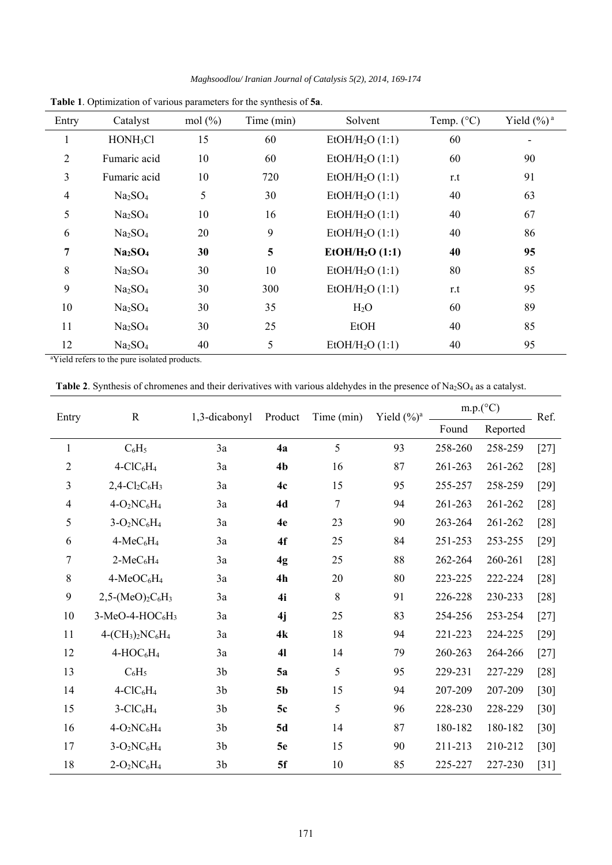*Maghsoodlou/ Iranian Journal of Catalysis 5(2), 2014, 169-174* 

| Entry          | Catalyst                        | mol <sup>(0)</sup> <sub>0</sub> | Time (min) | Solvent                     | Temp. $(^{\circ}C)$ | Yield $(\%)$ <sup>a</sup> |
|----------------|---------------------------------|---------------------------------|------------|-----------------------------|---------------------|---------------------------|
|                | HONH <sub>3</sub> Cl            | 15                              | 60         | EtOH/H <sub>2</sub> O(1:1)  | 60                  |                           |
| $\overline{2}$ | Fumaric acid                    | 10                              | 60         | EtOH/H <sub>2</sub> O(1:1)  | 60                  | 90                        |
| $\overline{3}$ | Fumaric acid                    | 10                              | 720        | EtOH/H <sub>2</sub> O (1:1) | r.t                 | 91                        |
| $\overline{4}$ | Na <sub>2</sub> SO <sub>4</sub> | 5                               | 30         | EtOH/H <sub>2</sub> O(1:1)  | 40                  | 63                        |
| 5              | Na <sub>2</sub> SO <sub>4</sub> | 10                              | 16         | EtOH/H <sub>2</sub> O(1:1)  | 40                  | 67                        |
| 6              | Na <sub>2</sub> SO <sub>4</sub> | 20                              | 9          | EtOH/H <sub>2</sub> O(1:1)  | 40                  | 86                        |
| 7              | Na <sub>2</sub> SO <sub>4</sub> | 30                              | 5          | EtOH/H <sub>2</sub> O(1:1)  | 40                  | 95                        |
| 8              | Na <sub>2</sub> SO <sub>4</sub> | 30                              | 10         | EtOH/H <sub>2</sub> O(1:1)  | 80                  | 85                        |
| 9              | Na <sub>2</sub> SO <sub>4</sub> | 30                              | 300        | EtOH/H <sub>2</sub> O(1:1)  | r.t                 | 95                        |
| 10             | Na <sub>2</sub> SO <sub>4</sub> | 30                              | 35         | H <sub>2</sub> O            | 60                  | 89                        |
| 11             | Na <sub>2</sub> SO <sub>4</sub> | 30                              | 25         | <b>EtOH</b>                 | 40                  | 85                        |
| 12             | Na <sub>2</sub> SO <sub>4</sub> | 40                              | 5          | EtOH/H <sub>2</sub> O (1:1) | 40                  | 95                        |

**Table 1**. Optimization of various parameters for the synthesis of **5a**.

<sup>a</sup>Yield refers to the pure isolated products.

Table 2. Synthesis of chromenes and their derivatives with various aldehydes in the presence of Na<sub>2</sub>SO<sub>4</sub> as a catalyst.

| Entry          | $\mathbf R$                                          | 1,3-dicabonyl  | Product        | Time (min) | Yield $(\%)^a$ | $m.p. (^{\circ}C)$ |          | Ref.   |
|----------------|------------------------------------------------------|----------------|----------------|------------|----------------|--------------------|----------|--------|
|                |                                                      |                |                |            |                | Found              | Reported |        |
| $\mathbf{1}$   | $C_6H_5$                                             | 3a             | 4a             | 5          | 93             | 258-260            | 258-259  | $[27]$ |
| $\overline{2}$ | $4-CIC6H4$                                           | 3a             | 4 <sub>b</sub> | 16         | 87             | 261-263            | 261-262  | $[28]$ |
| 3              | $2,4$ -Cl <sub>2</sub> C <sub>6</sub> H <sub>3</sub> | 3a             | 4c             | 15         | 95             | 255-257            | 258-259  | $[29]$ |
| $\overline{4}$ | $4-O2NC6H4$                                          | 3a             | 4d             | 7          | 94             | 261-263            | 261-262  | $[28]$ |
| 5              | $3-O2NC6H4$                                          | 3a             | 4e             | 23         | 90             | 263-264            | 261-262  | $[28]$ |
| 6              | 4-MeC <sub>6</sub> H <sub>4</sub>                    | 3a             | 4f             | 25         | 84             | 251-253            | 253-255  | $[29]$ |
| 7              | $2-MeC6H4$                                           | 3a             | 4g             | 25         | 88             | 262-264            | 260-261  | $[28]$ |
| 8              | 4-MeOC <sub>6</sub> H <sub>4</sub>                   | 3a             | 4h             | 20         | 80             | 223-225            | 222-224  | $[28]$ |
| 9              | $2,5-(MeO)_{2}C_{6}H_{3}$                            | 3a             | 4i             | $8\,$      | 91             | 226-228            | 230-233  | $[28]$ |
| 10             | $3-MeO-4-HOC6H3$                                     | 3a             | 4j             | 25         | 83             | 254-256            | 253-254  | $[27]$ |
| 11             | $4-(CH_3)_2NC_6H_4$                                  | 3a             | 4k             | 18         | 94             | 221-223            | 224-225  | $[29]$ |
| 12             | $4-HOC_6H_4$                                         | 3a             | 41             | 14         | 79             | 260-263            | 264-266  | $[27]$ |
| 13             | $C_6H_5$                                             | 3 <sub>b</sub> | 5a             | 5          | 95             | 229-231            | 227-229  | $[28]$ |
| 14             | $4-CIC6H4$                                           | 3 <sub>b</sub> | 5 <sub>b</sub> | 15         | 94             | 207-209            | 207-209  | $[30]$ |
| 15             | $3-CIC6H4$                                           | 3 <sub>b</sub> | 5c             | 5          | 96             | 228-230            | 228-229  | $[30]$ |
| 16             | $4-O2NC6H4$                                          | 3 <sub>b</sub> | 5d             | 14         | 87             | 180-182            | 180-182  | $[30]$ |
| 17             | $3-O2NC6H4$                                          | 3 <sub>b</sub> | 5e             | 15         | 90             | 211-213            | 210-212  | $[30]$ |
| 18             | $2-O2NC6H4$                                          | 3 <sub>b</sub> | 5f             | 10         | 85             | 225-227            | 227-230  | $[31]$ |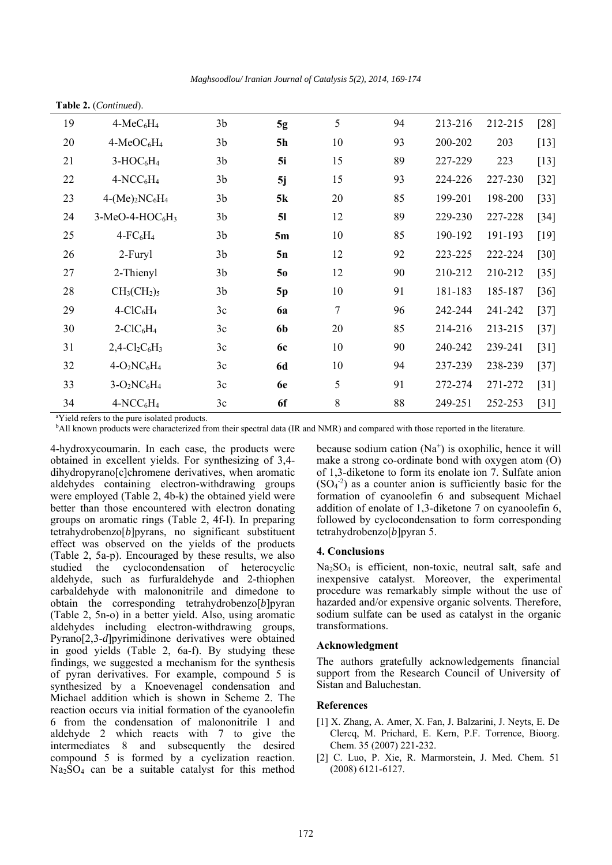| Table 2. (Continued). |                                                      |                |                |                |    |         |         |        |
|-----------------------|------------------------------------------------------|----------------|----------------|----------------|----|---------|---------|--------|
| 19                    | $4-MeC6H4$                                           | 3 <sub>b</sub> | 5g             | 5              | 94 | 213-216 | 212-215 | $[28]$ |
| 20                    | $4-MeOC6H4$                                          | 3 <sub>b</sub> | <b>5h</b>      | 10             | 93 | 200-202 | 203     | $[13]$ |
| 21                    | $3-HOC6H4$                                           | 3 <sub>b</sub> | 5i             | 15             | 89 | 227-229 | 223     | $[13]$ |
| 22                    | $4-NCC_6H_4$                                         | 3 <sub>b</sub> | 5j             | 15             | 93 | 224-226 | 227-230 | $[32]$ |
| 23                    | $4-(Me)2NC6H4$                                       | 3 <sub>b</sub> | 5k             | 20             | 85 | 199-201 | 198-200 | $[33]$ |
| 24                    | $3-MeO-4-HOC6H3$                                     | 3 <sub>b</sub> | 5 <sub>l</sub> | 12             | 89 | 229-230 | 227-228 | $[34]$ |
| 25                    | $4$ - $FC6H4$                                        | 3 <sub>b</sub> | 5m             | 10             | 85 | 190-192 | 191-193 | $[19]$ |
| 26                    | 2-Furyl                                              | 3 <sub>b</sub> | 5n             | 12             | 92 | 223-225 | 222-224 | $[30]$ |
| 27                    | 2-Thienyl                                            | 3 <sub>b</sub> | 50             | 12             | 90 | 210-212 | 210-212 | $[35]$ |
| 28                    | $CH3(CH2)5$                                          | 3 <sub>b</sub> | 5p             | 10             | 91 | 181-183 | 185-187 | $[36]$ |
| 29                    | $4-CIC6H4$                                           | 3c             | <b>6a</b>      | $\overline{7}$ | 96 | 242-244 | 241-242 | $[37]$ |
| 30                    | $2-CIC6H4$                                           | 3c             | 6 <sub>b</sub> | 20             | 85 | 214-216 | 213-215 | $[37]$ |
| 31                    | $2,4$ -Cl <sub>2</sub> C <sub>6</sub> H <sub>3</sub> | 3c             | 6c             | 10             | 90 | 240-242 | 239-241 | $[31]$ |
| 32                    | $4-O2NC6H4$                                          | 3c             | <b>6d</b>      | 10             | 94 | 237-239 | 238-239 | $[37]$ |
| 33                    | $3-O_2NC_6H_4$                                       | 3c             | 6e             | 5              | 91 | 272-274 | 271-272 | $[31]$ |
| 34                    | $4-NCC_6H_4$                                         | 3c             | 6f             | 8              | 88 | 249-251 | 252-253 | $[31]$ |

a Yield refers to the pure isolated products.

bAll known products were characterized from their spectral data (IR and NMR) and compared with those reported in the literature.

4-hydroxycoumarin. In each case, the products were obtained in excellent yields. For synthesizing of 3,4 dihydropyrano[c]chromene derivatives, when aromatic aldehydes containing electron-withdrawing groups were employed (Table 2, 4b-k) the obtained yield were better than those encountered with electron donating groups on aromatic rings (Table 2, 4f-l). In preparing tetrahydrobenzo[*b*]pyrans, no significant substituent effect was observed on the yields of the products (Table 2, 5a-p). Encouraged by these results, we also studied the cyclocondensation of heterocyclic aldehyde, such as furfuraldehyde and 2-thiophen carbaldehyde with malononitrile and dimedone to obtain the corresponding tetrahydrobenzo[*b*]pyran (Table 2, 5n-o) in a better yield. Also, using aromatic aldehydes including electron-withdrawing groups, Pyrano[2,3-*d*]pyrimidinone derivatives were obtained in good yields (Table 2, 6a-f). By studying these findings, we suggested a mechanism for the synthesis of pyran derivatives. For example, compound 5 is synthesized by a Knoevenagel condensation and Michael addition which is shown in Scheme 2. The reaction occurs via initial formation of the cyanoolefin 6 from the condensation of malononitrile 1 and aldehyde 2 which reacts with 7 to give the intermediates 8 and subsequently the desired compound 5 is formed by a cyclization reaction.  $Na<sub>2</sub>SO<sub>4</sub>$  can be a suitable catalyst for this method

because sodium cation  $(Na^+)$  is oxophilic, hence it will make a strong co-ordinate bond with oxygen atom (O) of 1,3-diketone to form its enolate ion 7. Sulfate anion  $(SO<sub>4</sub><sup>-2</sup>)$  as a counter anion is sufficiently basic for the formation of cyanoolefin 6 and subsequent Michael addition of enolate of 1,3-diketone 7 on cyanoolefin 6, followed by cyclocondensation to form corresponding tetrahydrobenzo[*b*]pyran 5.

#### **4. Conclusions**

Na2SO4 is efficient, non-toxic, neutral salt, safe and inexpensive catalyst. Moreover, the experimental procedure was remarkably simple without the use of hazarded and/or expensive organic solvents. Therefore, sodium sulfate can be used as catalyst in the organic transformations.

## **Acknowledgment**

The authors gratefully acknowledgements financial support from the Research Council of University of Sistan and Baluchestan.

## **References**

- [1] X. Zhang, A. Amer, X. Fan, J. Balzarini, J. Neyts, E. De Clercq, M. Prichard, E. Kern, P.F. Torrence, Bioorg. Chem. 35 (2007) 221-232.
- [2] C. Luo, P. Xie, R. Marmorstein, J. Med. Chem. 51 (2008) 6121-6127.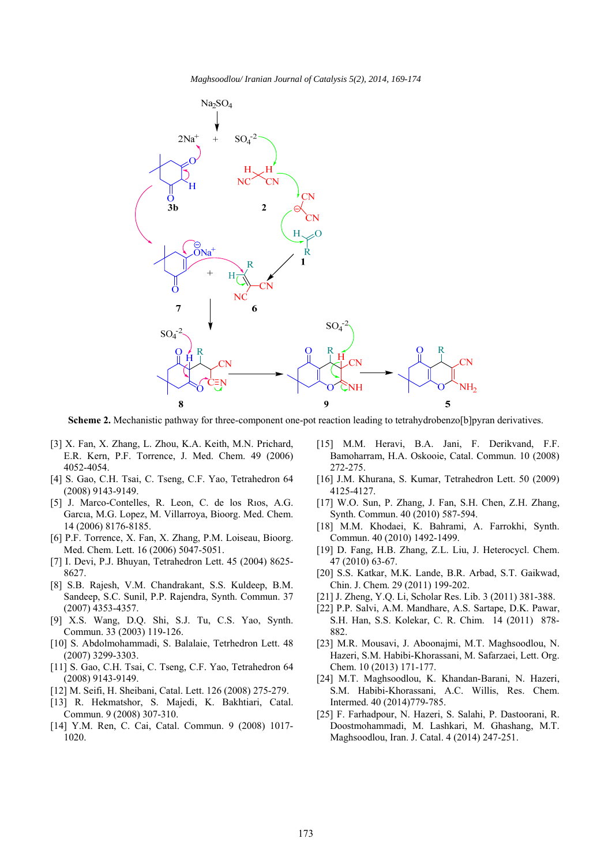

**Scheme 2.** Mechanistic pathway for three-component one-pot reaction leading to tetrahydrobenzo[b]pyran derivatives.

- [3] X. Fan, X. Zhang, L. Zhou, K.A. Keith, M.N. Prichard, E.R. Kern, P.F. Torrence, J. Med. Chem. 49 (2006) 4052-4054.
- [4] S. Gao, C.H. Tsai, C. Tseng, C.F. Yao, Tetrahedron 64 (2008) 9143-9149.
- [5] J. Marco-Contelles, R. Leon, C. de los Rıos, A.G. Garcıa, M.G. Lopez, M. Villarroya, Bioorg. Med. Chem. 14 (2006) 8176-8185.
- [6] P.F. Torrence, X. Fan, X. Zhang, P.M. Loiseau, Bioorg. Med. Chem. Lett. 16 (2006) 5047-5051.
- [7] I. Devi, P.J. Bhuyan, Tetrahedron Lett. 45 (2004) 8625- 8627.
- [8] S.B. Rajesh, V.M. Chandrakant, S.S. Kuldeep, B.M. Sandeep, S.C. Sunil, P.P. Rajendra, Synth. Commun. 37 (2007) 4353-4357.
- [9] X.S. Wang, D.Q. Shi, S.J. Tu, C.S. Yao, Synth. Commun. 33 (2003) 119-126.
- [10] S. Abdolmohammadi, S. Balalaie, Tetrhedron Lett. 48 (2007) 3299-3303.
- [11] S. Gao, C.H. Tsai, C. Tseng, C.F. Yao, Tetrahedron 64 (2008) 9143-9149.
- [12] M. Seifi, H. Sheibani, Catal. Lett. 126 (2008) 275-279.
- [13] R. Hekmatshor, S. Majedi, K. Bakhtiari, Catal. Commun. 9 (2008) 307-310.
- [14] Y.M. Ren, C. Cai, Catal. Commun. 9 (2008) 1017-1020.
- [15] M.M. Heravi, B.A. Jani, F. Derikvand, F.F. Bamoharram, H.A. Oskooie, Catal. Commun. 10 (2008) 272-275.
- [16] J.M. Khurana, S. Kumar, Tetrahedron Lett. 50 (2009) 4125-4127.
- [17] W.O. Sun, P. Zhang, J. Fan, S.H. Chen, Z.H. Zhang, Synth. Commun. 40 (2010) 587-594.
- [18] M.M. Khodaei, K. Bahrami, A. Farrokhi, Synth. Commun. 40 (2010) 1492-1499.
- [19] D. Fang, H.B. Zhang, Z.L. Liu, J. Heterocycl. Chem. 47 (2010) 63-67.
- [20] S.S. Katkar, M.K. Lande, B.R. Arbad, S.T. Gaikwad, Chin. J. Chem. 29 (2011) 199-202.
- [21] J. Zheng, Y.Q. Li, Scholar Res. Lib. 3 (2011) 381-388.
- [22] P.P. Salvi, A.M. Mandhare, A.S. Sartape, D.K. Pawar, S.H. Han, S.S. Kolekar, C. R. Chim. 14 (2011) 878- 882.
- [23] M.R. Mousavi, J. Aboonajmi, M.T. Maghsoodlou, N. Hazeri, S.M. Habibi-Khorassani, M. Safarzaei, Lett. Org. Chem. 10 (2013) 171-177.
- [24] M.T. Maghsoodlou, K. Khandan-Barani, N. Hazeri, S.M. Habibi-Khorassani, A.C. Willis, Res. Chem. Intermed. 40 (2014)779-785.
- [25] F. Farhadpour, N. Hazeri, S. Salahi, P. Dastoorani, R. Doostmohammadi, M. Lashkari, M. Ghashang, M.T. Maghsoodlou, Iran. J. Catal. 4 (2014) 247-251.